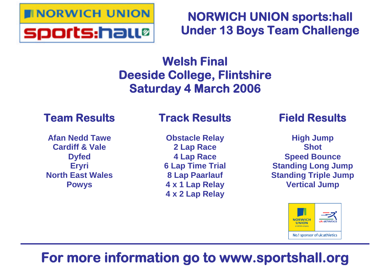

## **NORWICH UNION sports:hall Under 13 Boys Team Challenge**

## **Welsh Final Deeside College, Flintshire Saturday 4 March 2006**

### **Team Results**

**Afan Nedd Tawe Cardiff & Vale Dyfed Eryri North East Wales Powys**

## **Track Results**

**Obstacle Relay 2 Lap Race 4 Lap Race 6 Lap Time Trial 8 Lap Paarlauf 4 x 1 Lap Relay 4 x 2 Lap Relay**

### **Field Results**

**High Jump Shot Speed Bounce Standing Long Jump Standing Triple Jump Vertical Jump**



# **For more information go to www.sportshall.org**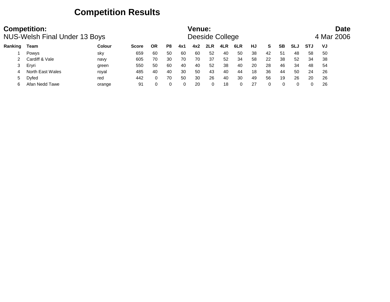### **Competition Results**

|         | <b>Competition:</b><br><b>NUS-Welsh Final Under 13 Boys</b> |               |              |              |          |     | Venue: | Deeside College |     |     |    |    |              |     |     | <b>Date</b><br>4 Mar 2006 |  |
|---------|-------------------------------------------------------------|---------------|--------------|--------------|----------|-----|--------|-----------------|-----|-----|----|----|--------------|-----|-----|---------------------------|--|
| Ranking | Team                                                        | <b>Colour</b> | <b>Score</b> | ΟR           | P8       | 4x1 | 4x2    | 2LR             | 4LR | 6LR | HJ | S. | <b>SB</b>    | SLJ | STJ | VJ                        |  |
|         | Powys                                                       | sky           | 659          | 60           | 50       | -60 | 60     | 52              | 40  | 50  | 38 | 42 | -51          | 48  | 58  | 50                        |  |
|         | Cardiff & Vale                                              | navy          | 605          | 70           | 30       | 70  | 70     | 37              | 52  | 34  | 58 | 22 | 38           | 52  | 34  | 38                        |  |
|         | Ervri                                                       | green         | 550          | 50           | -60      | 40  | 40     | 52              | 38  | 40  | 20 | 28 | 46           | 34  | 48  | 54                        |  |
| 4       | North East Wales                                            | royal         | 485          | 40           | 40       | 30  | 50     | 43              | 40  | 44  | 18 | 36 | 44           | 50  | 24  | 26                        |  |
| 5       | Dyfed                                                       | red           | 442          | $\mathbf{0}$ | 70       | 50  | 30     | 26              | 40  | 30  | 49 | 56 | 19           | 26  | 20  | 26                        |  |
|         | Afan Nedd Tawe                                              | orange        | 91           |              | $\Omega$ | 0   | 20     | 0               | 18  |     | 27 |    | <sup>n</sup> |     | 0   | 26                        |  |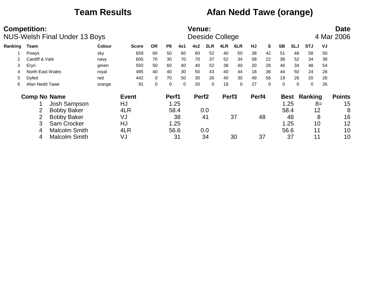### **Team Results Afan Nedd Tawe (orange)**

|         | <b>Competition:</b> | <b>NUS-Welsh Final Under 13 Boys</b> |        |              |           |                |          | <b>Venue:</b><br>Deeside College |          |                   |          |       |          |           |             |             |      | <b>Date</b><br>4 Mar 2006 |
|---------|---------------------|--------------------------------------|--------|--------------|-----------|----------------|----------|----------------------------------|----------|-------------------|----------|-------|----------|-----------|-------------|-------------|------|---------------------------|
| Ranking | Team                |                                      | Colour | <b>Score</b> | <b>OR</b> | P <sub>8</sub> | 4x1      | 4x2                              | 2LR      | 4LR               | 6LR      | HJ    | S        | <b>SB</b> | <b>SLJ</b>  | <b>STJ</b>  | VJ   |                           |
|         | Powys               |                                      | sky    | 659          | 60        | 50             | 60       | 60                               | 52       | 40                | 50       | 38    | 42       | 51        | 48          | 58          | 50   |                           |
|         | Cardiff & Vale      |                                      | navy   | 605          | 70        | 30             | 70       | 70                               | 37       | 52                | 34       | 58    | 22       | 38        | 52          | 34          | 38   |                           |
| 3       | Eryri               |                                      | green  | 550          | 50        | 60             | 40       | 40                               | 52       | 38                | 40       | 20    | 28       | 46        | 34          | 48          | 54   |                           |
|         | North East Wales    |                                      | royal  | 485          | 40        | 40             | 30       | 50                               | 43       | 40                | 44       | 18    | 36       | 44        | 50          | 24          | 26   |                           |
| 5       | Dyfed               |                                      | red    | 442          | $\Omega$  | 70             | 50       | 30                               | 26       | 40                | 30       | 49    | 56       | 19        | 26          | 20          | 26   |                           |
| 6       | Afan Nedd Tawe      |                                      | orange | 91           | 0         | 0              | $\Omega$ | 20                               | $\Omega$ | 18                | $\Omega$ | 27    | $\Omega$ | 0         | $\Omega$    | $\mathbf 0$ | 26   |                           |
|         | <b>Comp No Name</b> |                                      |        | <b>Event</b> |           | Perf1          |          | Perf <sub>2</sub>                |          | Perf <sub>3</sub> |          | Perf4 |          |           | <b>Best</b> | Ranking     |      | <b>Points</b>             |
|         |                     | Josh Sampson                         |        | HJ           |           |                | 1.25     |                                  |          |                   |          |       |          |           | 1.25        |             | $8=$ | 15                        |
|         |                     | <b>Bobby Baker</b>                   |        | 4LR          |           | 58.4           |          |                                  | 0.0      |                   |          |       |          |           | 58.4        | 12          |      | 8                         |
|         |                     | <b>Bobby Baker</b>                   |        | VJ           |           |                | 38       |                                  | 41       |                   | 37       |       | 48       |           | 48          |             | 8    | 16                        |
|         | 3                   | Sam Crocker                          |        | HJ           |           |                | 1.25     |                                  |          |                   |          |       |          |           | 1.25        | 10          |      | 12                        |
|         | 4                   | <b>Malcolm Smith</b>                 |        | 4LR          |           | 56.6           |          |                                  | 0.0      |                   |          |       |          |           | 56.6        | 11          |      | 10                        |
|         | 4                   | <b>Malcolm Smith</b>                 |        | VJ           |           |                | 31       |                                  | 34       |                   | 30       |       | 37       |           | 37          | 11          |      | 10                        |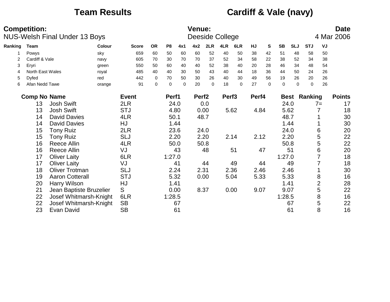### **Team Results Cardiff & Vale (navy)**

|         | <b>Competition:</b> | <b>NUS-Welsh Final Under 13 Boys</b> |        |              |             |                |          | Venue:            |             | Deeside College   |          |       |          |             |             |             |                | <b>Date</b><br>4 Mar 2006 |
|---------|---------------------|--------------------------------------|--------|--------------|-------------|----------------|----------|-------------------|-------------|-------------------|----------|-------|----------|-------------|-------------|-------------|----------------|---------------------------|
| Ranking | Team                |                                      | Colour | <b>Score</b> | <b>OR</b>   | P <sub>8</sub> | 4x1      | 4x2               | 2LR         | 4LR               | 6LR      | HJ    | S        | <b>SB</b>   | <b>SLJ</b>  | <b>STJ</b>  | VJ             |                           |
|         | Powys               |                                      | sky    | 659          | 60          | 50             | 60       | 60                | 52          | 40                | 50       | 38    | 42       | 51          | 48          | 58          | 50             |                           |
|         | Cardiff & Vale      |                                      | navy   | 605          | 70          | 30             | 70       | 70                | 37          | 52                | 34       | 58    | 22       | 38          | 52          | 34          | 38             |                           |
| 3       | Eryri               |                                      | green  | 550          | 50          | 60             | 40       | 40                | 52          | 38                | 40       | 20    | 28       | 46          | 34          | 48          | 54             |                           |
| 4       | North East Wales    |                                      | royal  | 485          | 40          | 40             | 30       | 50                | 43          | 40                | 44       | 18    | 36       | 44          | 50          | 24          | 26             |                           |
| 5       | Dyfed               |                                      | red    | 442          | 0           | 70             | 50       | 30                | 26          | 40                | 30       | 49    | 56       | 19          | 26          | 20          | 26             |                           |
| 6       | Afan Nedd Tawe      |                                      | orange | 91           | $\mathbf 0$ | $\mathbf 0$    | $\Omega$ | 20                | $\mathbf 0$ | 18                | $\Omega$ | 27    | $\Omega$ | $\mathbf 0$ | $\Omega$    | $\mathbf 0$ | 26             |                           |
|         | <b>Comp No Name</b> |                                      |        | <b>Event</b> |             | Perf1          |          | Perf <sub>2</sub> |             | Perf <sub>3</sub> |          | Perf4 |          |             | <b>Best</b> | Ranking     |                | <b>Points</b>             |
|         | 13                  | <b>Josh Swift</b>                    |        | 2LR          |             | 24.0           |          |                   | 0.0         |                   |          |       |          | 24.0        |             |             | $7=$           | 17                        |
|         | 13                  | <b>Josh Swift</b>                    |        | <b>STJ</b>   |             | 4.80           |          |                   | 0.00        |                   | 5.62     | 4.84  |          | 5.62        |             |             | 7              | 18                        |
|         | 14                  | <b>David Davies</b>                  |        | 4LR          |             | 50.1           |          |                   | 48.7        |                   |          |       |          | 48.7        |             |             |                | 30                        |
|         | 14                  | <b>David Davies</b>                  |        | HJ           |             | 1.44           |          |                   |             |                   |          |       |          |             | 1.44        |             |                | 30                        |
|         | 15                  | <b>Tony Ruiz</b>                     |        | 2LR          |             | 23.6           |          |                   | 24.0        |                   |          |       |          | 24.0        |             |             | 6              | 20                        |
|         | 15                  | <b>Tony Ruiz</b>                     |        | <b>SLJ</b>   |             | 2.20           |          |                   | 2.20        |                   | 2.14     | 2.12  |          | 2.20        |             |             | 5              | 22                        |
|         | 16                  | Reece Allin                          |        | 4LR          |             | 50.0           |          |                   | 50.8        |                   |          |       |          | 50.8        |             |             | 5              | 22                        |
|         | 16                  | Reece Allin                          |        | VJ           |             |                | 43       |                   | 48          |                   | 51       |       | 47       |             | 51          |             | 6              | 20                        |
|         | 17                  | <b>Oliver Laity</b>                  |        | 6LR          |             | 1:27.0         |          |                   |             |                   |          |       |          | 1:27.0      |             |             | 7              | 18                        |
|         | 17                  | <b>Oliver Laity</b>                  |        | VJ           |             |                | 41       |                   | 44          |                   | 49       |       | 44       |             | 49          |             |                | 18                        |
|         | 18                  | <b>Oliver Trotman</b>                |        | <b>SLJ</b>   |             | 2.24           |          | 2.31              |             |                   | 2.36     | 2.46  |          | 2.46        |             |             |                | 30                        |
|         | 19                  | <b>Aaron Cotterall</b>               |        | <b>STJ</b>   |             | 5.32           |          |                   | 0.00        |                   | 5.04     | 5.33  |          | 5.33        |             |             | 8              | 16                        |
|         | 20                  | <b>Harry Wilson</b>                  |        | HJ           |             | 1.41           |          |                   |             |                   |          |       |          | 1.41        |             |             | $\overline{2}$ | 28                        |
|         | 21                  | Jean Baptiste Bruzelier              |        | S            |             | 0.00           |          | 8.37              |             |                   | 0.00     | 9.07  |          | 9.07        |             |             | 5              | 22                        |
|         | 22                  | Josef Whitmarsh-Knight               |        | 6LR          |             | 1:28.5         |          |                   |             |                   |          |       |          | 1:28.5      |             |             | 8              | 16                        |
|         | 22                  | Josef Whitmarsh-Knight               |        | <b>SB</b>    |             |                | 67       |                   |             |                   |          |       |          |             | 67          |             | 5              | 22                        |
|         | 23                  | Evan David                           |        | <b>SB</b>    |             |                | 61       |                   |             |                   |          |       |          |             | 61          |             | 8              | 16                        |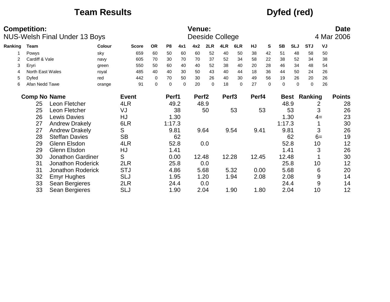### **Team Results Dyfed (red)**

|         | <b>Competition:</b> | <b>NUS-Welsh Final Under 13 Boys</b> |               |              |             |                |      | <b>Venue:</b>     |           | Deeside College   |      |           |          |             |            |            |      | <b>Date</b><br>4 Mar 2006 |
|---------|---------------------|--------------------------------------|---------------|--------------|-------------|----------------|------|-------------------|-----------|-------------------|------|-----------|----------|-------------|------------|------------|------|---------------------------|
| Ranking | Team                |                                      | <b>Colour</b> | <b>Score</b> | <b>OR</b>   | P <sub>8</sub> | 4x1  | 4x2               | 2LR       | 4LR               | 6LR  | <b>HJ</b> | S        | <b>SB</b>   | <b>SLJ</b> | <b>STJ</b> | VJ   |                           |
|         | Powys               |                                      | sky           | 659          | 60          | 50             | 60   | 60                | 52        | 40                | 50   | 38        | 42       | 51          | 48         | 58         | 50   |                           |
|         | Cardiff & Vale      |                                      | navy          | 605          | 70          | 30             | 70   | 70                | 37        | 52                | 34   | 58        | 22       | 38          | 52         | 34         | 38   |                           |
| 3       | Eryri               |                                      | green         | 550          | 50          | 60             | 40   | 40                | 52        | 38                | 40   | 20        | 28       | 46          | 34         | 48         | 54   |                           |
|         | North East Wales    |                                      | royal         | 485          | 40          | 40             | 30   | 50                | 43        | 40                | 44   | 18        | 36       | 44          | 50         | 24         | 26   |                           |
| 5       | Dyfed               |                                      | red           | 442          | $\mathbf 0$ | 70             | 50   | 30                | 26        | 40                | 30   | 49        | 56       | 19          | 26         | 20         | 26   |                           |
| 6       | Afan Nedd Tawe      |                                      | orange        | 91           | $\pmb{0}$   | $\mathbf 0$    | 0    | 20                | $\pmb{0}$ | 18                | 0    | 27        | $\Omega$ | $\mathbf 0$ | $\Omega$   | 0          | 26   |                           |
|         | <b>Comp No Name</b> |                                      |               | <b>Event</b> |             | Perf1          |      | Perf <sub>2</sub> |           | Perf <sub>3</sub> |      | Perf4     |          |             | Best       | Ranking    |      | <b>Points</b>             |
|         | 25                  | Leon Fletcher                        |               | 4LR          |             | 49.2           |      |                   | 48.9      |                   |      |           |          |             | 48.9       |            | 2    | 28                        |
|         | 25                  | Leon Fletcher                        |               | VJ           |             |                | 38   |                   | 50        |                   | 53   |           | 53       |             | 53         |            | 3    | 26                        |
|         | 26                  | <b>Lewis Davies</b>                  |               | HJ           |             |                | 1.30 |                   |           |                   |      |           |          |             | 1.30       |            | $4=$ | 23                        |
|         | 27                  | <b>Andrew Drakely</b>                |               | 6LR          |             | 1:17.3         |      |                   |           |                   |      |           |          | 1:17.3      |            |            |      | 30                        |
|         | 27                  | <b>Andrew Drakely</b>                |               | S            |             | 9.81           |      |                   | 9.64      |                   | 9.54 | 9.41      |          | 9.81        |            |            | 3    | 26                        |
|         | 28                  | <b>Steffan Davies</b>                |               | <b>SB</b>    |             |                | 62   |                   |           |                   |      |           |          |             | 62         |            | $6=$ | 19                        |
|         | 29                  | Glenn Elsdon                         |               | 4LR          |             |                | 52.8 |                   | 0.0       |                   |      |           |          |             | 52.8       |            | 10   | 12                        |
|         | 29                  | Glenn Elsdon                         |               | HJ           |             | 1.41           |      |                   |           |                   |      |           |          |             | 1.41       |            | 3    | 26                        |
|         | 30                  | <b>Jonathon Gardiner</b>             |               | S            |             | 0.00           |      | 12.48             |           | 12.28             |      | 12.45     |          | 12.48       |            |            |      | 30                        |
|         | 31                  | <b>Jonathon Roderick</b>             |               | 2LR          |             |                | 25.8 |                   | 0.0       |                   |      |           |          |             | 25.8       |            | 10   | 12                        |
|         | 31                  | <b>Jonathon Roderick</b>             |               | <b>STJ</b>   |             |                | 4.86 |                   | 5.68      |                   | 5.32 | 0.00      |          |             | 5.68       |            | 6    | 20                        |
|         | 32                  | <b>Emyr Hughes</b>                   |               | <b>SLJ</b>   |             |                | 1.95 |                   | 1.20      |                   | 1.94 | 2.08      |          |             | 2.08       |            | 9    | 14                        |
|         | 33                  | Sean Bergieres                       |               | 2LR          |             |                | 24.4 |                   | 0.0       |                   |      |           |          |             | 24.4       |            | 9    | 14                        |
|         | 33                  | Sean Bergieres                       |               | <b>SLJ</b>   |             |                | 1.90 |                   | 2.04      |                   | 1.90 | 1.80      |          |             | 2.04       |            | 10   | 12                        |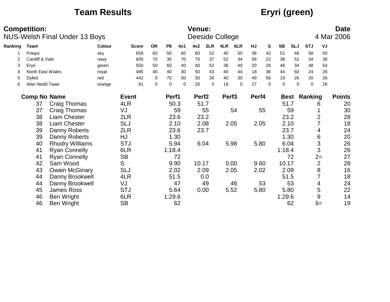### **Team Results Eryri (green)**

|         | <b>Competition:</b> | <b>NUS-Welsh Final Under 13 Boys</b> |        |              |             |                |          | <b>Venue:</b>     |             | Deeside College   |          |       |          |           |            |            |                | <b>Date</b><br>4 Mar 2006 |
|---------|---------------------|--------------------------------------|--------|--------------|-------------|----------------|----------|-------------------|-------------|-------------------|----------|-------|----------|-----------|------------|------------|----------------|---------------------------|
| Ranking | Team                |                                      | Colour | <b>Score</b> | <b>OR</b>   | P <sub>8</sub> | 4x1      | 4x2               | 2LR         | 4LR               | 6LR      | HJ    | S        | <b>SB</b> | <b>SLJ</b> | <b>STJ</b> | VJ             |                           |
|         | Powys               |                                      | sky    | 659          | 60          | 50             | 60       | 60                | 52          | 40                | 50       | 38    | 42       | 51        | 48         | 58         | 50             |                           |
| 2       | Cardiff & Vale      |                                      | navy   | 605          | 70          | 30             | 70       | 70                | 37          | 52                | 34       | 58    | 22       | 38        | 52         | 34         | 38             |                           |
| 3       | Eryri               |                                      | green  | 550          | 50          | 60             | 40       | 40                | 52          | 38                | 40       | 20    | 28       | 46        | 34         | 48         | 54             |                           |
| 4       | North East Wales    |                                      | royal  | 485          | 40          | 40             | 30       | 50                | 43          | 40                | 44       | 18    | 36       | 44        | 50         | 24         | 26             |                           |
| 5       | Dyfed               |                                      | red    | 442          | 0           | 70             | 50       | 30                | 26          | 40                | 30       | 49    | 56       | 19        | 26         | 20         | 26             |                           |
| 6       | Afan Nedd Tawe      |                                      | orange | 91           | $\mathbf 0$ | $\Omega$       | $\Omega$ | 20                | $\mathbf 0$ | 18                | $\Omega$ | 27    | $\Omega$ | $\Omega$  | $\Omega$   | $\Omega$   | 26             |                           |
|         | <b>Comp No Name</b> |                                      |        | <b>Event</b> |             | Perf1          |          | Perf <sub>2</sub> |             | Perf <sub>3</sub> |          | Perf4 |          |           | Best       | Ranking    |                | <b>Points</b>             |
|         | 37                  | <b>Craig Thomas</b>                  |        | 4LR          |             |                | 50.3     |                   | 51.7        |                   |          |       |          | 51.7      |            |            | 6              | 20                        |
|         | 37                  | Craig Thomas                         |        | VJ           |             |                | 59       |                   | 55          |                   | 54       |       | 55       |           | 59         |            |                | 30                        |
|         | 38                  | <b>Liam Chester</b>                  |        | 2LR          |             | 23.6           |          |                   | 23.2        |                   |          |       |          |           | 23.2       |            | 2              | 28                        |
|         | 38                  | <b>Liam Chester</b>                  |        | <b>SLJ</b>   |             | 2.10           |          |                   | 2.08        |                   | 2.05     | 2.05  |          |           | 2.10       |            |                | 18                        |
|         | 39                  | Danny Roberts                        |        | 2LR          |             |                | 23.6     |                   | 23.7        |                   |          |       |          |           | 23.7       |            | 4              | 24                        |
|         | 39                  | Danny Roberts                        |        | HJ           |             |                | 1.30     |                   |             |                   |          |       |          |           | 1.30       |            | 6              | 20                        |
|         | 40                  | <b>Rhodry Williams</b>               |        | <b>STJ</b>   |             |                | 5.94     |                   | 6.04        |                   | 5.98     | 5.80  |          |           | 6.04       |            | 3              | 26                        |
|         | 41                  | <b>Ryan Connelly</b>                 |        | 6LR          |             | 1:18.4         |          |                   |             |                   |          |       |          | 1:18.4    |            |            | 3              | 26                        |
|         | 41                  | <b>Ryan Connelly</b>                 |        | <b>SB</b>    |             |                | 72       |                   |             |                   |          |       |          |           | 72         |            | $2=$           | 27                        |
|         | 42                  | Sam Wood                             |        | S            |             | 9.90           |          | 10.17             |             |                   | 0.00     | 9.60  |          | 10.17     |            |            | $\overline{2}$ | 28                        |
|         | 43                  | <b>Owain McGinary</b>                |        | <b>SLJ</b>   |             | 2.02           |          |                   | 2.09        |                   | 2.05     | 2.02  |          |           | 2.09       |            | 8              | 16                        |
|         | 44                  | Danny Brookwell                      |        | 4LR          |             | 51.5           |          |                   | 0.0         |                   |          |       |          |           | 51.5       |            | 7              | 18                        |
|         | 44                  | Danny Brookwell                      |        | VJ           |             |                | 47       |                   | 49          |                   | 46       |       | 53       |           | 53         |            | 4              | 24                        |
|         | 45                  | <b>James Ross</b>                    |        | <b>STJ</b>   |             | 5.64           |          |                   | 0.00        |                   | 5.52     | 5.80  |          |           | 5.80       |            | 5              | 22                        |
|         | 46                  | <b>Ben Wright</b>                    |        | 6LR          |             | 1:29.6         |          |                   |             |                   |          |       |          | 1:29.6    |            |            | 9              | 14                        |
|         | 46                  | Ben Wright                           |        | <b>SB</b>    |             |                | 62       |                   |             |                   |          |       |          |           | 62         |            | $6=$           | 19                        |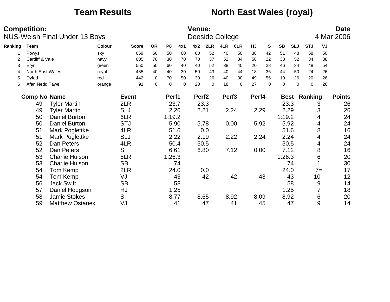### **Team Results <b>North East Wales (royal)**

|         | <b>Competition:</b> | <b>NUS-Welsh Final Under 13 Boys</b> |        |              |           |                |          | <b>Venue:</b>     |      | Deeside College   |          |           |          |             |             |            |      | <b>Date</b><br>4 Mar 2006 |
|---------|---------------------|--------------------------------------|--------|--------------|-----------|----------------|----------|-------------------|------|-------------------|----------|-----------|----------|-------------|-------------|------------|------|---------------------------|
| Ranking | Team                |                                      | Colour | <b>Score</b> | <b>OR</b> | P <sub>8</sub> | 4x1      | 4x2               | 2LR  | 4LR               | 6LR      | <b>HJ</b> | S        | <b>SB</b>   | <b>SLJ</b>  | <b>STJ</b> | VJ   |                           |
|         | Powys               |                                      | sky    | 659          | 60        | 50             | 60       | 60                | 52   | 40                | 50       | 38        | 42       | 51          | 48          | 58         | 50   |                           |
| 2       | Cardiff & Vale      |                                      | navy   | 605          | 70        | 30             | 70       | 70                | 37   | 52                | 34       | 58        | 22       | 38          | 52          | 34         | 38   |                           |
| 3       | Eryri               |                                      | green  | 550          | 50        | 60             | 40       | 40                | 52   | 38                | 40       | 20        | 28       | 46          | 34          | 48         | 54   |                           |
| 4       | North East Wales    |                                      | royal  | 485          | 40        | 40             | 30       | 50                | 43   | 40                | 44       | 18        | 36       | 44          | 50          | 24         | 26   |                           |
| 5       | Dyfed               |                                      | red    | 442          | 0         | 70             | 50       | 30                | 26   | 40                | 30       | 49        | 56       | 19          | 26          | 20         | 26   |                           |
| 6       | Afan Nedd Tawe      |                                      | orange | 91           | $\pmb{0}$ | $\mathbf 0$    | $\Omega$ | 20                | 0    | 18                | $\Omega$ | 27        | $\Omega$ | $\mathbf 0$ | $\Omega$    | 0          | 26   |                           |
|         | <b>Comp No Name</b> |                                      |        | <b>Event</b> |           | Perf1          |          | Perf <sub>2</sub> |      | Perf <sub>3</sub> |          | Perf4     |          |             | <b>Best</b> | Ranking    |      | <b>Points</b>             |
|         | 49                  | <b>Tyler Martin</b>                  |        | 2LR          |           | 23.7           |          |                   | 23.3 |                   |          |           |          |             | 23.3        |            | 3    | 26                        |
|         | 49                  | <b>Tyler Martin</b>                  |        | <b>SLJ</b>   |           |                | 2.26     | 2.21              |      |                   | 2.24     | 2.29      |          |             | 2.29        |            | 3    | 26                        |
|         | 50                  | <b>Daniel Burton</b>                 |        | 6LR          |           | 1:19.2         |          |                   |      |                   |          |           |          | 1:19.2      |             |            | 4    | 24                        |
|         | 50                  | <b>Daniel Burton</b>                 |        | <b>STJ</b>   |           | 5.90           |          |                   | 5.78 |                   | 0.00     | 5.92      |          |             | 5.92        |            | 4    | 24                        |
|         | 51                  | Mark Poglettke                       |        | 4LR          |           | 51.6           |          |                   | 0.0  |                   |          |           |          |             | 51.6        |            | 8    | 16                        |
|         | 51                  | Mark Poglettke                       |        | <b>SLJ</b>   |           | 2.22           |          |                   | 2.19 |                   | 2.22     | 2.24      |          |             | 2.24        |            | 4    | 24                        |
|         | 52                  | Dan Peters                           |        | 4LR          |           | 50.4           |          |                   | 50.5 |                   |          |           |          |             | 50.5        |            | 4    | 24                        |
|         | 52                  | Dan Peters                           |        | S            |           | 6.61           |          |                   | 6.80 |                   | 7.12     | 0.00      |          |             | 7.12        |            | 8    | 16                        |
|         | 53                  | <b>Charlie Hulson</b>                |        | 6LR          |           | 1:26.3         |          |                   |      |                   |          |           |          | 1:26.3      |             |            | 6    | 20                        |
|         | 53                  | <b>Charlie Hulson</b>                |        | <b>SB</b>    |           |                | 74       |                   |      |                   |          |           |          |             | 74          |            |      | 30                        |
|         | 54                  | Tom Kemp                             |        | 2LR          |           |                | 24.0     |                   | 0.0  |                   |          |           |          |             | 24.0        |            | $7=$ | 17                        |
|         | 54                  | Tom Kemp                             |        | VJ           |           |                | 43       |                   | 42   |                   | 42       |           | 43       |             | 43          |            | 10   | 12                        |
|         | 56                  | <b>Jack Swift</b>                    |        | <b>SB</b>    |           |                | 58       |                   |      |                   |          |           |          |             | 58          |            | 9    | 14                        |
|         | 57                  | Daniel Hodgson                       |        | HJ           |           |                | 1.25     |                   |      |                   |          |           |          |             | 1.25        |            |      | 18                        |
|         | 58                  | <b>Jamie Stokes</b>                  |        | S            |           | 8.77           |          |                   | 8.65 |                   | 8.92     | 8.09      |          |             | 8.92        |            | 6    | 20                        |
|         | 59                  | <b>Matthew Ostanek</b>               |        | VJ           |           |                | 41       |                   | 47   |                   | 41       |           | 45       |             | 47          |            | 9    | 14                        |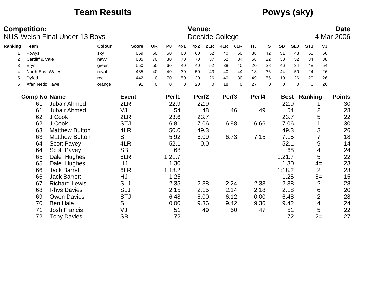### **Team Results Powys (sky)**

|         | <b>Competition:</b> | <b>NUS-Welsh Final Under 13 Boys</b> |               |              |             |                |             | Venue:            |             | Deeside College   |             |       |              |             |            |             |                | <b>Date</b><br>4 Mar 2006 |
|---------|---------------------|--------------------------------------|---------------|--------------|-------------|----------------|-------------|-------------------|-------------|-------------------|-------------|-------|--------------|-------------|------------|-------------|----------------|---------------------------|
| Ranking | Team                |                                      | <b>Colour</b> | <b>Score</b> | <b>OR</b>   | P <sub>8</sub> | 4x1         | 4x2               | 2LR         | 4LR               | 6LR         | HJ    | S            | <b>SB</b>   | <b>SLJ</b> | <b>STJ</b>  | VJ             |                           |
|         | Powys               |                                      | sky           | 659          | 60          | 50             | 60          | 60                | 52          | 40                | 50          | 38    | 42           | 51          | 48         | 58          | 50             |                           |
| 2       | Cardiff & Vale      |                                      | navy          | 605          | 70          | 30             | 70          | 70                | 37          | 52                | 34          | 58    | 22           | 38          | 52         | 34          | 38             |                           |
| 3       | Eryri               |                                      | green         | 550          | 50          | 60             | 40          | 40                | 52          | 38                | 40          | 20    | 28           | 46          | 34         | 48          | 54             |                           |
| 4       | North East Wales    |                                      | royal         | 485          | 40          | 40             | 30          | 50                | 43          | 40                | 44          | 18    | 36           | 44          | 50         | 24          | 26             |                           |
| 5       | Dyfed               |                                      | red           | 442          | 0           | 70             | 50          | 30                | 26          | 40                | 30          | 49    | 56           | 19          | 26         | 20          | 26             |                           |
| 6       | Afan Nedd Tawe      |                                      | orange        | 91           | $\mathbf 0$ | $\mathbf 0$    | $\mathbf 0$ | 20                | $\mathbf 0$ | 18                | $\mathbf 0$ | 27    | $\mathbf{0}$ | $\mathbf 0$ | $\Omega$   | $\mathbf 0$ | 26             |                           |
|         | <b>Comp No Name</b> |                                      |               | <b>Event</b> |             | Perf1          |             | Perf <sub>2</sub> |             | Perf <sub>3</sub> |             | Perf4 |              | <b>Best</b> |            | Ranking     |                | <b>Points</b>             |
|         | 61                  | Jubair Ahmed                         |               | 2LR          |             |                | 22.9        |                   | 22.9        |                   |             |       |              | 22.9        |            |             |                | 30                        |
|         | 61                  | <b>Jubair Ahmed</b>                  |               | VJ           |             |                | 54          |                   | 48          |                   | 46          |       | 49           |             | 54         |             | $\overline{2}$ | 28                        |
|         | 62                  | J Cook                               |               | 2LR          |             |                | 23.6        |                   | 23.7        |                   |             |       |              | 23.7        |            |             | 5              | 22                        |
|         | 62                  | J Cook                               |               | <b>STJ</b>   |             | 6.81           |             |                   | 7.06        |                   | 6.98        | 6.66  |              |             | 7.06       |             |                | 30                        |
|         | 63                  | <b>Matthew Bufton</b>                |               | 4LR          |             |                | 50.0        |                   | 49.3        |                   |             |       |              | 49.3        |            |             | 3              | 26                        |
|         | 63                  | <b>Matthew Bufton</b>                |               | S            |             |                | 5.92        |                   | 6.09        |                   | 6.73        | 7.15  |              | 7.15        |            |             |                | 18                        |
|         | 64                  | <b>Scott Pavey</b>                   |               | 4LR          |             |                | 52.1        |                   | 0.0         |                   |             |       |              | 52.1        |            |             | 9              | 14                        |
|         | 64                  | <b>Scott Pavey</b>                   |               | <b>SB</b>    |             |                | 68          |                   |             |                   |             |       |              |             | 68         |             | 4              | 24                        |
|         | 65                  | Dale Hughes                          |               | 6LR          |             | 1:21.7         |             |                   |             |                   |             |       |              | 1:21.7      |            |             | 5              | 22                        |
|         | 65                  | Dale Hughes                          |               | HJ           |             |                | 1.30        |                   |             |                   |             |       |              |             | 1.30       |             | $4=$           | 23                        |
|         | 66                  | <b>Jack Barrett</b>                  |               | 6LR          |             | 1:18.2         |             |                   |             |                   |             |       |              | 1:18.2      |            |             | $\overline{2}$ | 28                        |
|         | 66                  | <b>Jack Barrett</b>                  |               | HJ           |             |                | 1.25        |                   |             |                   |             |       |              |             | 1.25       |             | $8=$           | 15                        |
|         | 67                  | <b>Richard Lewis</b>                 |               | <b>SLJ</b>   |             |                | 2.35        |                   | 2.38        |                   | 2.24        | 2.33  |              | 2.38        |            |             | $\overline{2}$ | 28                        |
|         | 68                  | <b>Rhys Davies</b>                   |               | <b>SLJ</b>   |             |                | 2.15        |                   | 2.15        |                   | 2.14        | 2.18  |              | 2.18        |            |             | 6              | 20                        |
|         | 69                  | <b>Owen Davies</b>                   |               | <b>STJ</b>   |             |                | 6.48        |                   | 6.00        |                   | 6.12        | 0.00  |              | 6.48        |            |             | $\overline{2}$ | 28                        |
|         | 70                  | <b>Ben Hale</b>                      |               | S            |             |                | 0.00        |                   | 9.36        |                   | 9.42        | 9.36  |              | 9.42        |            |             | 4              | 24                        |
|         | 71                  | <b>Josh Francis</b>                  |               | VJ           |             |                | 51          |                   | 49          |                   | 50          |       | 47           |             | 51         |             | 5              | 22                        |
|         | 72                  | <b>Tony Davies</b>                   |               | <b>SB</b>    |             |                | 72          |                   |             |                   |             |       |              |             | 72         |             | $2=$           | 27                        |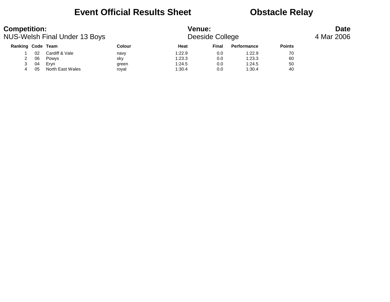### **Event Official Results Sheet <b>CEV** Obstacle Relay

| <b>Competition:</b> |    | NUS-Welsh Final Under 13 Boys |        | <b>Venue:</b> | Deeside College |                    |               | <b>Date</b><br>4 Mar 2006 |
|---------------------|----|-------------------------------|--------|---------------|-----------------|--------------------|---------------|---------------------------|
| Ranking Code Team   |    |                               | Colour | Heat          | Final           | <b>Performance</b> | <b>Points</b> |                           |
|                     | 02 | Cardiff & Vale                | navy   | 1:22.9        | 0.0             | 1:22.9             | 70            |                           |
|                     | 06 | Powys                         | sky    | 1:23.3        | 0.0             | 1:23.3             | 60            |                           |
|                     | 04 | Ervri                         | green  | 1:24.5        | 0.0             | 1:24.5             | 50            |                           |
| 4                   | 05 | North East Wales              | royal  | 1:30.4        | 0.0             | 1:30.4             | 40            |                           |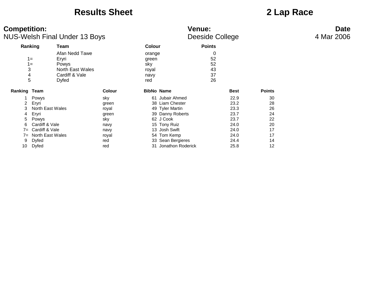### **Results Sheet 2 Lap Race**

| <b>Competition:</b>                                                                                             | <b>NUS-Welsh Final Under 13 Boys</b>                                                   |                                                                              |                                                                                                                                                                                        | <b>Venue:</b><br>Deeside College                                             |                                                          | <b>Date</b><br>4 Mar 2006 |
|-----------------------------------------------------------------------------------------------------------------|----------------------------------------------------------------------------------------|------------------------------------------------------------------------------|----------------------------------------------------------------------------------------------------------------------------------------------------------------------------------------|------------------------------------------------------------------------------|----------------------------------------------------------|---------------------------|
| Ranking                                                                                                         | Team                                                                                   |                                                                              | <b>Colour</b>                                                                                                                                                                          | <b>Points</b>                                                                |                                                          |                           |
| $1 =$<br>$1 =$<br>3<br>4<br>5                                                                                   | Afan Nedd Tawe<br>Eryri<br>Powys<br>North East Wales<br>Cardiff & Vale<br><b>Dyfed</b> |                                                                              | orange<br>green<br>sky<br>royal<br>navy<br>red                                                                                                                                         | 0<br>52<br>52<br>43<br>37<br>26                                              |                                                          |                           |
| Ranking Team                                                                                                    |                                                                                        | <b>Colour</b>                                                                | <b>BibNo Name</b>                                                                                                                                                                      | <b>Best</b>                                                                  | <b>Points</b>                                            |                           |
| Powys<br>Eryri<br>2<br>3<br>Eryri<br>4<br>5<br>Powys<br>6<br>$7 =$<br>$7 =$<br><b>Dyfed</b><br>9<br>Dyfed<br>10 | North East Wales<br>Cardiff & Vale<br>Cardiff & Vale<br>North East Wales               | sky<br>green<br>royal<br>green<br>sky<br>navy<br>navy<br>royal<br>red<br>red | 61 Jubair Ahmed<br>38 Liam Chester<br>49 Tyler Martin<br>39 Danny Roberts<br>62 J Cook<br>15 Tony Ruiz<br>13 Josh Swift<br>54 Tom Kemp<br>33 Sean Bergieres<br>Jonathon Roderick<br>31 | 22.9<br>23.2<br>23.3<br>23.7<br>23.7<br>24.0<br>24.0<br>24.0<br>24.4<br>25.8 | 30<br>28<br>26<br>24<br>22<br>20<br>17<br>17<br>14<br>12 |                           |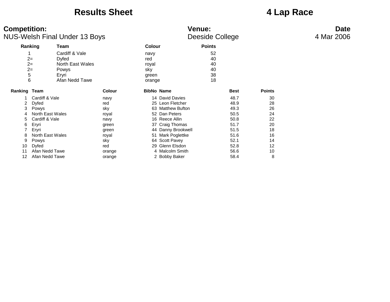### **Results Sheet 4 Lap Race**

| <b>Competition:</b>                                                                                                   | <b>NUS-Welsh Final Under 13 Boys</b>                                                                         |                                                                                                  |                                                                                                                                                                                                                                    | <b>Venue:</b><br>Deeside College                                                             |                                                                     | <b>Date</b><br>4 Mar 2006 |
|-----------------------------------------------------------------------------------------------------------------------|--------------------------------------------------------------------------------------------------------------|--------------------------------------------------------------------------------------------------|------------------------------------------------------------------------------------------------------------------------------------------------------------------------------------------------------------------------------------|----------------------------------------------------------------------------------------------|---------------------------------------------------------------------|---------------------------|
| Ranking                                                                                                               | Team                                                                                                         |                                                                                                  | <b>Colour</b>                                                                                                                                                                                                                      | <b>Points</b>                                                                                |                                                                     |                           |
| $2=$<br>$2=$<br>$2=$<br>5<br>6                                                                                        | Cardiff & Vale<br><b>Dyfed</b><br>North East Wales<br>Powys<br>Eryri<br>Afan Nedd Tawe                       |                                                                                                  | navy<br>red<br>royal<br>sky<br>green<br>orange                                                                                                                                                                                     | 52<br>40<br>40<br>40<br>38<br>18                                                             |                                                                     |                           |
| Ranking Team                                                                                                          |                                                                                                              | <b>Colour</b>                                                                                    | <b>BibNo Name</b>                                                                                                                                                                                                                  | <b>Best</b>                                                                                  | <b>Points</b>                                                       |                           |
| 2<br><b>Dyfed</b><br>3<br>Powys<br>4<br>5<br>Eryri<br>6<br>Eryri<br>8<br>9<br>Powys<br><b>Dyfed</b><br>10<br>11<br>12 | Cardiff & Vale<br>North East Wales<br>Cardiff & Vale<br>North East Wales<br>Afan Nedd Tawe<br>Afan Nedd Tawe | navy<br>red<br>sky<br>royal<br>navy<br>green<br>green<br>royal<br>sky<br>red<br>orange<br>orange | 14 David Davies<br>25 Leon Fletcher<br>63 Matthew Bufton<br>52 Dan Peters<br>16 Reece Allin<br>37 Craig Thomas<br>44 Danny Brookwell<br>51 Mark Poglettke<br>64 Scott Pavey<br>29 Glenn Elsdon<br>4 Malcolm Smith<br>2 Bobby Baker | 48.7<br>48.9<br>49.3<br>50.5<br>50.8<br>51.7<br>51.5<br>51.6<br>52.1<br>52.8<br>56.6<br>58.4 | 30<br>28<br>26<br>24<br>22<br>20<br>18<br>16<br>14<br>12<br>10<br>8 |                           |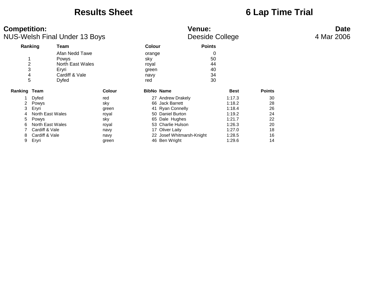### **Results Sheet 6 Lap Time Trial**

| <b>Competition:</b>        |                                                                                                                              | <b>NUS-Welsh Final Under 13 Boys</b>                                            |                                                                       |                                                | <b>Venue:</b>                                                                                                                                                                        | Deeside College                 |                                                                                        |                                                    | <b>Date</b><br>4 Mar 2006 |
|----------------------------|------------------------------------------------------------------------------------------------------------------------------|---------------------------------------------------------------------------------|-----------------------------------------------------------------------|------------------------------------------------|--------------------------------------------------------------------------------------------------------------------------------------------------------------------------------------|---------------------------------|----------------------------------------------------------------------------------------|----------------------------------------------------|---------------------------|
|                            | Ranking                                                                                                                      | <b>Team</b>                                                                     |                                                                       | <b>Colour</b>                                  |                                                                                                                                                                                      | <b>Points</b>                   |                                                                                        |                                                    |                           |
|                            | $\overline{c}$<br>3<br>4<br>5                                                                                                | Afan Nedd Tawe<br>Powys<br>North East Wales<br>Eryri<br>Cardiff & Vale<br>Dyfed |                                                                       | orange<br>sky<br>royal<br>green<br>navy<br>red |                                                                                                                                                                                      | 0<br>50<br>44<br>40<br>34<br>30 |                                                                                        |                                                    |                           |
| Ranking                    | Team                                                                                                                         |                                                                                 | <b>Colour</b>                                                         |                                                | <b>BibNo Name</b>                                                                                                                                                                    |                                 | <b>Best</b>                                                                            | <b>Points</b>                                      |                           |
| 2<br>3<br>5<br>6<br>8<br>9 | <b>Dyfed</b><br>Powys<br>Eryri<br>North East Wales<br>Powys<br>North East Wales<br>Cardiff & Vale<br>Cardiff & Vale<br>Eryri |                                                                                 | red<br>sky<br>green<br>royal<br>sky<br>royal<br>navy<br>navy<br>green |                                                | 27 Andrew Drakely<br>66 Jack Barrett<br>41 Ryan Connelly<br>50 Daniel Burton<br>65 Dale Hughes<br>53 Charlie Hulson<br>17 Oliver Laity<br>22 Josef Whitmarsh-Knight<br>46 Ben Wright |                                 | 1:17.3<br>1:18.2<br>1:18.4<br>1:19.2<br>1:21.7<br>1:26.3<br>1:27.0<br>1:28.5<br>1:29.6 | 30<br>28<br>26<br>24<br>22<br>20<br>18<br>16<br>14 |                           |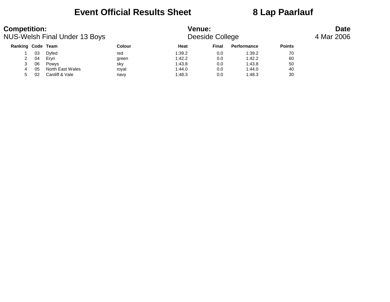### **Event Official Results Sheet 8 Lap Paarlauf**

| <b>Competition:</b> |    | NUS-Welsh Final Under 13 Boys |               | <b>Venue:</b> | Deeside College |             |               | <b>Date</b><br>4 Mar 2006 |
|---------------------|----|-------------------------------|---------------|---------------|-----------------|-------------|---------------|---------------------------|
| Ranking Code Team   |    |                               | <b>Colour</b> | Heat          | Final           | Performance | <b>Points</b> |                           |
|                     | 03 | Dyfed                         | red           | 1:39.2        | 0.0             | 1:39.2      | 70            |                           |
| 2                   | 04 | Ervri                         | green         | 1:42.2        | 0.0             | 1:42.2      | 60            |                           |
| 3                   | 06 | Powys                         | sky           | 1:43.8        | 0.0             | 1:43.8      | 50            |                           |
|                     | 05 | North East Wales              | royal         | 1:44.0        | 0.0             | 1:44.0      | 40            |                           |
| 5.                  | 02 | Cardiff & Vale                | navy          | 1:48.3        | 0.0             | 1:48.3      | 30            |                           |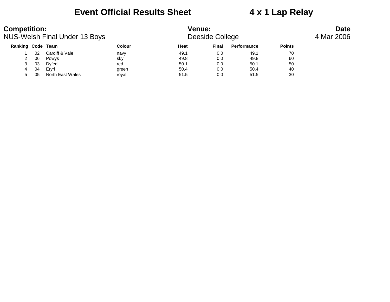### **Event Official Results Sheet 4 x 1 Lap Relay**

| <b>Competition:</b> |    | NUS-Welsh Final Under 13 Boys |               | <b>Venue:</b> | Deeside College |             | <b>Date</b><br>4 Mar 2006 |  |  |
|---------------------|----|-------------------------------|---------------|---------------|-----------------|-------------|---------------------------|--|--|
| Ranking Code Team   |    |                               | <b>Colour</b> | Heat          | <b>Final</b>    | Performance | <b>Points</b>             |  |  |
|                     | 02 | Cardiff & Vale                | navy          | 49.1          | 0.0             | 49.1        | 70                        |  |  |
| 2                   | 06 | Powys                         | sky           | 49.8          | 0.0             | 49.8        | 60                        |  |  |
|                     | 03 | Dyfed                         | red           | 50.1          | 0.0             | 50.1        | 50                        |  |  |
| 4                   | 04 | Ervri                         | green         | 50.4          | 0.0             | 50.4        | 40                        |  |  |
|                     | 05 | North East Wales              | roval         | 51.5          | 0.0             | 51.5        | 30                        |  |  |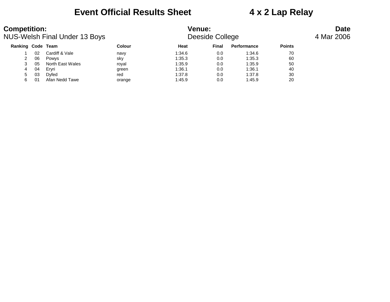### **Event Official Results Sheet 4 x 2 Lap Relay**

| <b>Competition:</b>      |    | NUS-Welsh Final Under 13 Boys |               | <b>Venue:</b><br>Deeside College |       | <b>Date</b><br>4 Mar 2006 |               |  |
|--------------------------|----|-------------------------------|---------------|----------------------------------|-------|---------------------------|---------------|--|
| <b>Ranking Code Team</b> |    |                               | <b>Colour</b> | Heat                             | Final | Performance               | <b>Points</b> |  |
|                          | 02 | Cardiff & Vale                | navy          | 1:34.6                           | 0.0   | 1:34.6                    | 70            |  |
|                          | 06 | Powys                         | sky           | 1:35.3                           | 0.0   | 1:35.3                    | 60            |  |
|                          | 05 | North East Wales              | royal         | 1:35.9                           | 0.0   | 1:35.9                    | 50            |  |
| 4                        | 04 | Ervri                         | green         | 1:36.1                           | 0.0   | 1:36.1                    | 40            |  |
| 5                        | 03 | Dyfed                         | red           | 1:37.8                           | 0.0   | 1:37.8                    | 30            |  |
| 6                        | 01 | Afan Nedd Tawe                | orange        | 1:45.9                           | 0.0   | 1:45.9                    | 20            |  |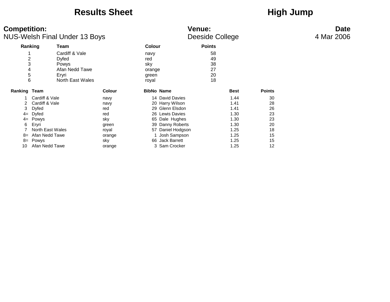### Results Sheet **High Jump**

| <b>Competition:</b><br><b>NUS-Welsh Final Under 13 Boys</b> |                                           |                                    |                                                | <b>Venue:</b><br><b>Deeside College</b> | <b>Date</b><br>4 Mar 2006 |               |  |
|-------------------------------------------------------------|-------------------------------------------|------------------------------------|------------------------------------------------|-----------------------------------------|---------------------------|---------------|--|
| Ranking                                                     | Team                                      |                                    | <b>Colour</b>                                  | <b>Points</b>                           |                           |               |  |
| $\overline{2}$<br>3<br>4<br>$\mathbf 5$<br>6                | Cardiff & Vale<br>Dyfed<br>Powys<br>Eryri | Afan Nedd Tawe<br>North East Wales | navy<br>red<br>sky<br>orange<br>green<br>royal | 58<br>49<br>38<br>27<br>20<br>18        |                           |               |  |
| Ranking Team                                                |                                           | <b>Colour</b>                      | <b>BibNo Name</b>                              |                                         | <b>Best</b>               | <b>Points</b> |  |
|                                                             | Cardiff & Vale                            | navy                               |                                                | 14 David Davies                         | 1.44                      | 30            |  |
| 2                                                           | Cardiff & Vale                            | navy                               |                                                | 20 Harry Wilson                         | 1.41                      | 28            |  |
| 3                                                           | Dyfed                                     | red                                |                                                | 29 Glenn Elsdon                         | 1.41                      | 26            |  |
|                                                             | $4 = Dyfed$                               | red                                |                                                | 26 Lewis Davies                         | 1.30                      | 23            |  |
|                                                             | $4 =$ Powys                               | sky                                |                                                | 65 Dale Hughes                          | 1.30                      | 23            |  |
| 6                                                           | Eryri                                     | green                              |                                                | 39 Danny Roberts                        | 1.30                      | 20            |  |
|                                                             | North East Wales                          | royal                              |                                                | 57 Daniel Hodgson                       | 1.25                      | 18            |  |
| $8=$                                                        | Afan Nedd Tawe                            | orange                             |                                                | 1 Josh Sampson                          | 1.25                      | 15            |  |
| 8=                                                          | Powys                                     | sky                                |                                                | 66 Jack Barrett                         | 1.25                      | 15            |  |
| 10                                                          | Afan Nedd Tawe                            | orange                             |                                                | 3 Sam Crocker                           | 1.25                      | 12            |  |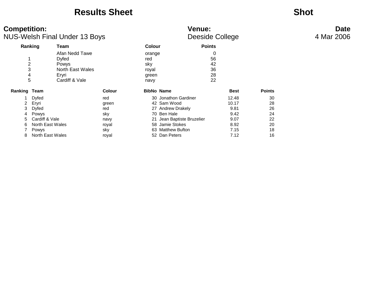### **Results Sheet Shot**

### **Competition: Venue: Date** NUS-Welsh Final Under 13 Boys **Deeside College 14 Mar 2006**

|                     |                  |                  |        |                   |                         |               | ັ           |               |
|---------------------|------------------|------------------|--------|-------------------|-------------------------|---------------|-------------|---------------|
|                     | Ranking          | Team             |        | <b>Colour</b>     |                         | <b>Points</b> |             |               |
|                     |                  | Afan Nedd Tawe   |        | orange            |                         | 0             |             |               |
|                     |                  | Dyfed            |        | red               |                         | 56            |             |               |
| $\overline{2}$      |                  | Powys            |        | sky               |                         | 42            |             |               |
| 3                   |                  | North East Wales |        | royal             |                         | 36            |             |               |
| 4                   |                  | Eryri            |        | green             |                         | 28            |             |               |
|                     | 5                | Cardiff & Vale   |        | navy              |                         | 22            |             |               |
| <b>Ranking Team</b> |                  |                  | Colour | <b>BibNo Name</b> |                         |               | <b>Best</b> | <b>Points</b> |
|                     | <b>Dyfed</b>     |                  | red    |                   | 30 Jonathon Gardiner    |               | 12.48       | 30            |
| 2                   | Eryri            |                  | green  |                   | 42 Sam Wood             |               | 10.17       | 28            |
| 3                   | Dyfed            |                  | red    |                   | 27 Andrew Drakely       |               | 9.81        | 26            |
| 4                   | Powys            |                  | sky    |                   | 70 Ben Hale             |               | 9.42        | 24            |
| 5.                  | Cardiff & Vale   |                  | navy   | 21                | Jean Baptiste Bruzelier |               | 9.07        | 22            |
| 6                   | North East Wales |                  | royal  | 58                | Jamie Stokes            |               | 8.92        | 20            |
|                     | <b>Powys</b>     |                  | sky    |                   | 63 Matthew Bufton       |               | 7.15        | 18            |
| 8                   | North East Wales |                  | royal  |                   | 52 Dan Peters           |               | 7.12        | 16            |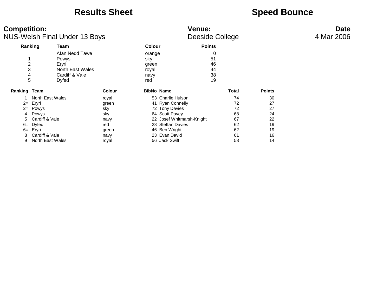### **Results Sheet Speed Bounce**

| <b>Competition:</b> | <b>NUS-Welsh Final Under 13 Boys</b> |               | <b>Venue:</b><br>Deeside College | <b>Date</b><br>4 Mar 2006 |
|---------------------|--------------------------------------|---------------|----------------------------------|---------------------------|
| Ranking             | Team                                 | <b>Colour</b> | <b>Points</b>                    |                           |
|                     | Afan Nedd Tawe                       | orange        | 0                                |                           |
|                     | Powys                                | sky           | 51                               |                           |
| 2                   | Ervri                                | green         | 46                               |                           |
| 3                   | North East Wales                     | royal         | 44                               |                           |
| 4                   | Cardiff & Vale                       | navy          | 38                               |                           |
| 5                   | Dyfed                                | red           | 19                               |                           |

| Ranking Team |                    | <b>Colour</b> | <b>BibNo Name</b>         | Total | <b>Points</b> |
|--------------|--------------------|---------------|---------------------------|-------|---------------|
|              | North East Wales   | roval         | 53 Charlie Hulson         | 74    | 30            |
|              | $2=$ Eryri         | green         | 41 Ryan Connelly          | 72    | 27            |
|              | $2 = Powys$        | sky           | 72 Tony Davies            | 72    | 27            |
|              | 4 Powys            | sky           | 64 Scott Pavey            | 68    | 24            |
|              | 5 Cardiff & Vale   | navy          | 22 Josef Whitmarsh-Knight | 67    | 22            |
|              | $6 = \text{Dyfed}$ | red           | 28 Steffan Davies         | 62    | 19            |
|              | 6= Ervri           | green         | 46 Ben Wright             | 62    | 19            |
|              | 8 Cardiff & Vale   | navy          | 23 Evan David             | 61    | 16            |
| 9            | North East Wales   | roval         | 56 Jack Swift             | 58    | 14            |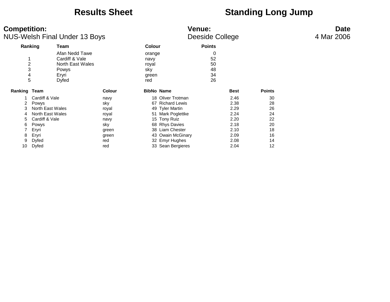### **Results Sheet Standing Long Jump**

| <b>Competition:</b><br><b>NUS-Welsh Final Under 13 Boys</b> |                               |                                                                                 |               | <b>Venue:</b><br>Deeside College               | <b>Date</b><br>4 Mar 2006 |                                 |             |               |  |
|-------------------------------------------------------------|-------------------------------|---------------------------------------------------------------------------------|---------------|------------------------------------------------|---------------------------|---------------------------------|-------------|---------------|--|
|                                                             | Ranking                       | Team                                                                            |               | <b>Colour</b>                                  |                           | <b>Points</b>                   |             |               |  |
|                                                             | $\overline{c}$<br>3<br>4<br>5 | Afan Nedd Tawe<br>Cardiff & Vale<br>North East Wales<br>Powys<br>Eryri<br>Dyfed |               | orange<br>navy<br>royal<br>sky<br>green<br>red |                           | 0<br>52<br>50<br>48<br>34<br>26 |             |               |  |
| <b>Ranking Team</b>                                         |                               |                                                                                 | <b>Colour</b> |                                                | <b>BibNo Name</b>         |                                 | <b>Best</b> | <b>Points</b> |  |
|                                                             | Cardiff & Vale                |                                                                                 | navy          |                                                | 18 Oliver Trotman         |                                 | 2.46        | 30            |  |
|                                                             | Powys                         |                                                                                 | sky           |                                                | 67 Richard Lewis          |                                 | 2.38        | 28            |  |
|                                                             | North East Wales              |                                                                                 | royal         |                                                | 49 Tyler Martin           |                                 | 2.29        | 26            |  |
| 4                                                           | North East Wales              |                                                                                 | royal         |                                                | 51 Mark Poglettke         |                                 | 2.24        | 24            |  |
| 5.                                                          | Cardiff & Vale                |                                                                                 | navy          |                                                | 15 Tony Ruiz              |                                 | 2.20        | 22            |  |
| 6                                                           | Powys                         |                                                                                 | sky           |                                                | 68 Rhys Davies            |                                 | 2.18        | 20            |  |
|                                                             | Eryri                         |                                                                                 | green         |                                                | 38 Liam Chester           |                                 | 2.10        | 18            |  |
| 8                                                           | Eryri                         |                                                                                 | green         |                                                | 43 Owain McGinary         |                                 | 2.09        | 16            |  |
| 9                                                           | <b>Dyfed</b>                  |                                                                                 | red           |                                                | 32 Emyr Hughes            |                                 | 2.08        | 14            |  |
| 10                                                          | Dyfed                         |                                                                                 | red           |                                                | 33 Sean Bergieres         |                                 | 2.04        | 12            |  |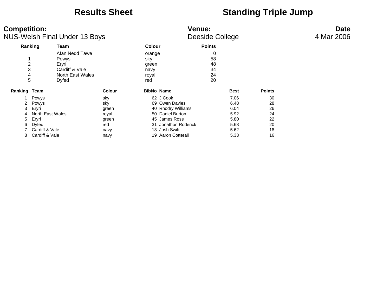### **Results Sheet Standing Triple Jump**

| <b>Competition:</b><br><b>NUS-Welsh Final Under 13 Boys</b> |                                                  |                                    |                                                | <b>Date</b><br>4 Mar 2006       |               |  |
|-------------------------------------------------------------|--------------------------------------------------|------------------------------------|------------------------------------------------|---------------------------------|---------------|--|
| Ranking                                                     | Team                                             |                                    | <b>Colour</b>                                  | <b>Points</b>                   |               |  |
| 2<br>3<br>4<br>5                                            | <b>Powys</b><br>Eryri<br>Cardiff & Vale<br>Dyfed | Afan Nedd Tawe<br>North East Wales | orange<br>sky<br>green<br>navy<br>royal<br>red | 0<br>58<br>48<br>34<br>24<br>20 |               |  |
| Ranking Team                                                |                                                  | <b>Colour</b>                      | <b>BibNo Name</b>                              | <b>Best</b>                     | <b>Points</b> |  |
|                                                             | Powys                                            | sky                                | 62 J Cook                                      | 7.06                            | 30            |  |
|                                                             | Powys                                            | sky                                | 69 Owen Davies                                 | 6.48                            | 28            |  |
| 3                                                           | Eryri                                            | green                              | 40 Rhodry Williams                             | 6.04                            | 26            |  |
| 4                                                           | North East Wales                                 | royal                              | 50 Daniel Burton                               | 5.92                            | 24            |  |
| 5.                                                          | Eryri                                            | green                              | 45 James Ross                                  | 5.80                            | 22            |  |
| 6                                                           | Dyfed                                            | red                                | 31 Jonathon Roderick                           | 5.68                            | 20            |  |
|                                                             | Cardiff & Vale                                   | navy                               | 13 Josh Swift                                  | 5.62                            | 18            |  |
| 8                                                           | Cardiff & Vale                                   | navy                               | 19 Aaron Cotterall                             | 5.33                            | 16            |  |